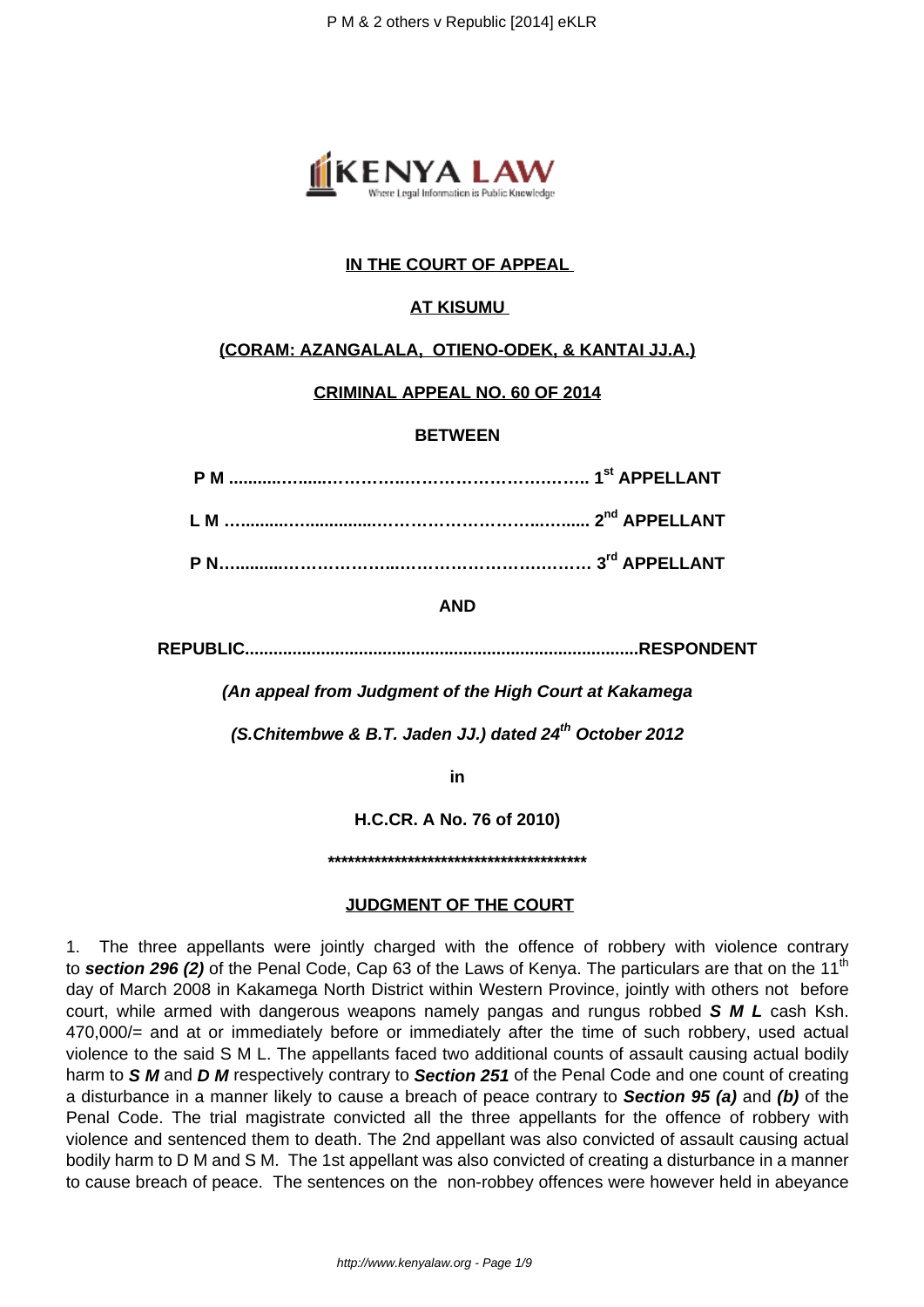

# **IN THE COURT OF APPEAL**

## **AT KISUMU**

#### **(CORAM: AZANGALALA, OTIENO-ODEK, & KANTAI JJ.A.)**

#### **CRIMINAL APPEAL NO. 60 OF 2014**

#### **BETWEEN**

#### **AND**

**REPUBLIC...................................................................................RESPONDENT**

**(An appeal from Judgment of the High Court at Kakamega**

**(S.Chitembwe & B.T. Jaden JJ.) dated 24th October 2012**

**in**

**H.C.CR. A No. 76 of 2010)**

**\*\*\*\*\*\*\*\*\*\*\*\*\*\*\*\*\*\*\*\*\*\*\*\*\*\*\*\*\*\*\*\*\*\*\*\*\*\*\***

### **JUDGMENT OF THE COURT**

1. The three appellants were jointly charged with the offence of robbery with violence contrary to section 296 (2) of the Penal Code, Cap 63 of the Laws of Kenya. The particulars are that on the 11<sup>th</sup> day of March 2008 in Kakamega North District within Western Province, jointly with others not before court, while armed with dangerous weapons namely pangas and rungus robbed **S M L** cash Ksh. 470,000/= and at or immediately before or immediately after the time of such robbery, used actual violence to the said S M L. The appellants faced two additional counts of assault causing actual bodily harm to **S M** and **D M** respectively contrary to **Section 251** of the Penal Code and one count of creating a disturbance in a manner likely to cause a breach of peace contrary to **Section 95 (a)** and **(b)** of the Penal Code. The trial magistrate convicted all the three appellants for the offence of robbery with violence and sentenced them to death. The 2nd appellant was also convicted of assault causing actual bodily harm to D M and S M. The 1st appellant was also convicted of creating a disturbance in a manner to cause breach of peace. The sentences on the non-robbey offences were however held in abeyance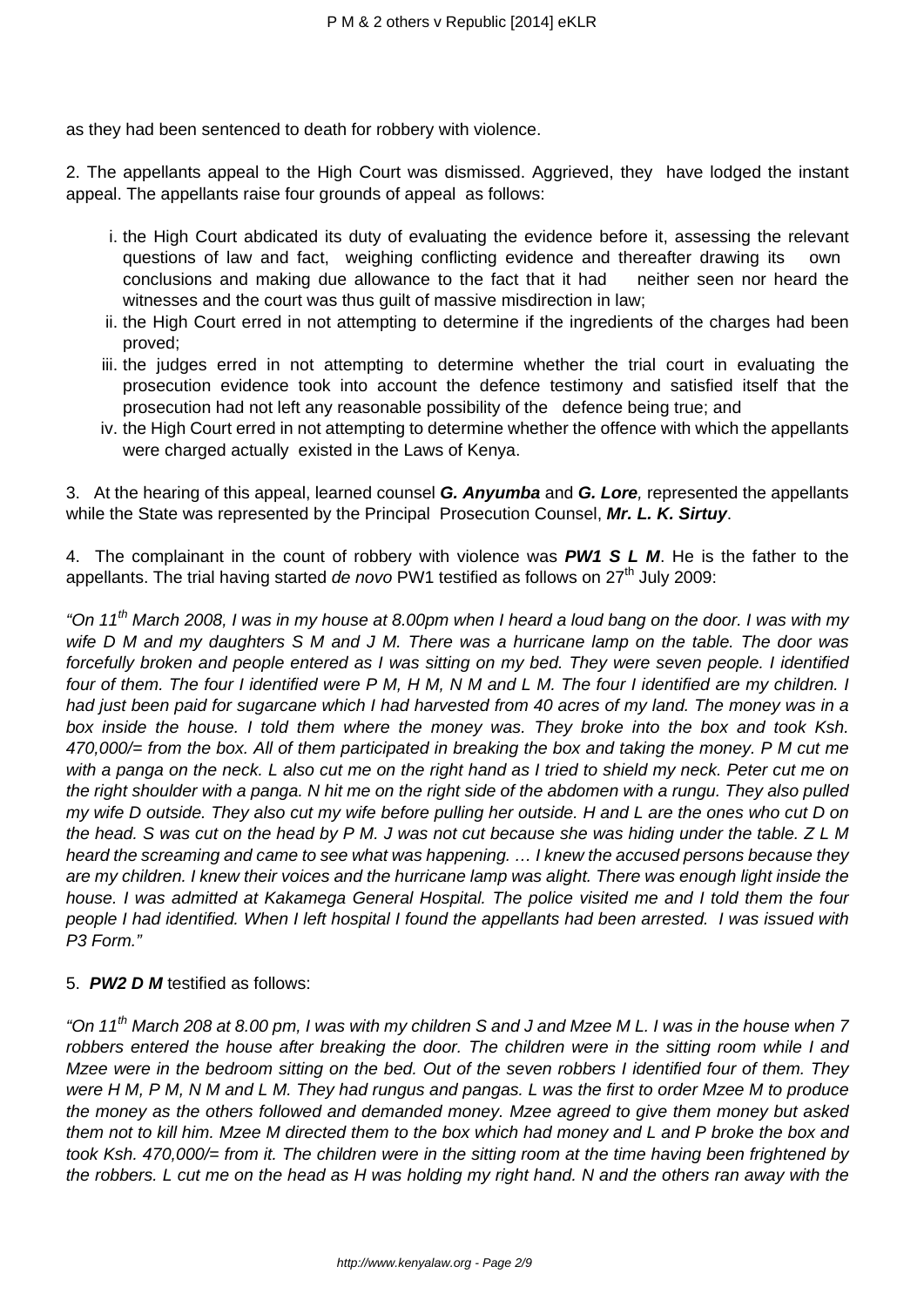as they had been sentenced to death for robbery with violence.

2. The appellants appeal to the High Court was dismissed. Aggrieved, they have lodged the instant appeal. The appellants raise four grounds of appeal as follows:

- i. the High Court abdicated its duty of evaluating the evidence before it, assessing the relevant questions of law and fact, weighing conflicting evidence and thereafter drawing its own conclusions and making due allowance to the fact that it had neither seen nor heard the witnesses and the court was thus guilt of massive misdirection in law;
- ii. the High Court erred in not attempting to determine if the ingredients of the charges had been proved;
- iii. the judges erred in not attempting to determine whether the trial court in evaluating the prosecution evidence took into account the defence testimony and satisfied itself that the prosecution had not left any reasonable possibility of the defence being true; and
- iv. the High Court erred in not attempting to determine whether the offence with which the appellants were charged actually existed in the Laws of Kenya.

3. At the hearing of this appeal, learned counsel **G. Anyumba** and **G. Lore**, represented the appellants while the State was represented by the Principal Prosecution Counsel, **Mr. L. K. Sirtuy**.

4. The complainant in the count of robbery with violence was **PW1 S L M**. He is the father to the appellants. The trial having started de novo PW1 testified as follows on  $27<sup>th</sup>$  July 2009:

"On 11<sup>th</sup> March 2008, I was in my house at 8.00pm when I heard a loud bang on the door. I was with my wife D M and my daughters S M and J M. There was a hurricane lamp on the table. The door was forcefully broken and people entered as I was sitting on my bed. They were seven people. I identified four of them. The four I identified were P M, H M, N M and L M. The four I identified are my children. I had just been paid for sugarcane which I had harvested from 40 acres of my land. The money was in a box inside the house. I told them where the money was. They broke into the box and took Ksh. 470,000/= from the box. All of them participated in breaking the box and taking the money. P M cut me with a panga on the neck. L also cut me on the right hand as I tried to shield my neck. Peter cut me on the right shoulder with a panga. N hit me on the right side of the abdomen with a rungu. They also pulled my wife D outside. They also cut my wife before pulling her outside. H and L are the ones who cut D on the head. S was cut on the head by P M. J was not cut because she was hiding under the table.  $Z L M$ heard the screaming and came to see what was happening. … I knew the accused persons because they are my children. I knew their voices and the hurricane lamp was alight. There was enough light inside the house. I was admitted at Kakamega General Hospital. The police visited me and I told them the four people I had identified. When I left hospital I found the appellants had been arrested. I was issued with P3 Form."

# 5. **PW2 D M** testified as follows:

"On 11<sup>th</sup> March 208 at 8.00 pm, I was with my children S and J and Mzee M L. I was in the house when 7 robbers entered the house after breaking the door. The children were in the sitting room while I and Mzee were in the bedroom sitting on the bed. Out of the seven robbers I identified four of them. They were H M, P M, N M and L M. They had rungus and pangas. L was the first to order Mzee M to produce the money as the others followed and demanded money. Mzee agreed to give them money but asked them not to kill him. Mzee M directed them to the box which had money and L and P broke the box and took Ksh. 470,000/= from it. The children were in the sitting room at the time having been frightened by the robbers. L cut me on the head as H was holding my right hand. N and the others ran away with the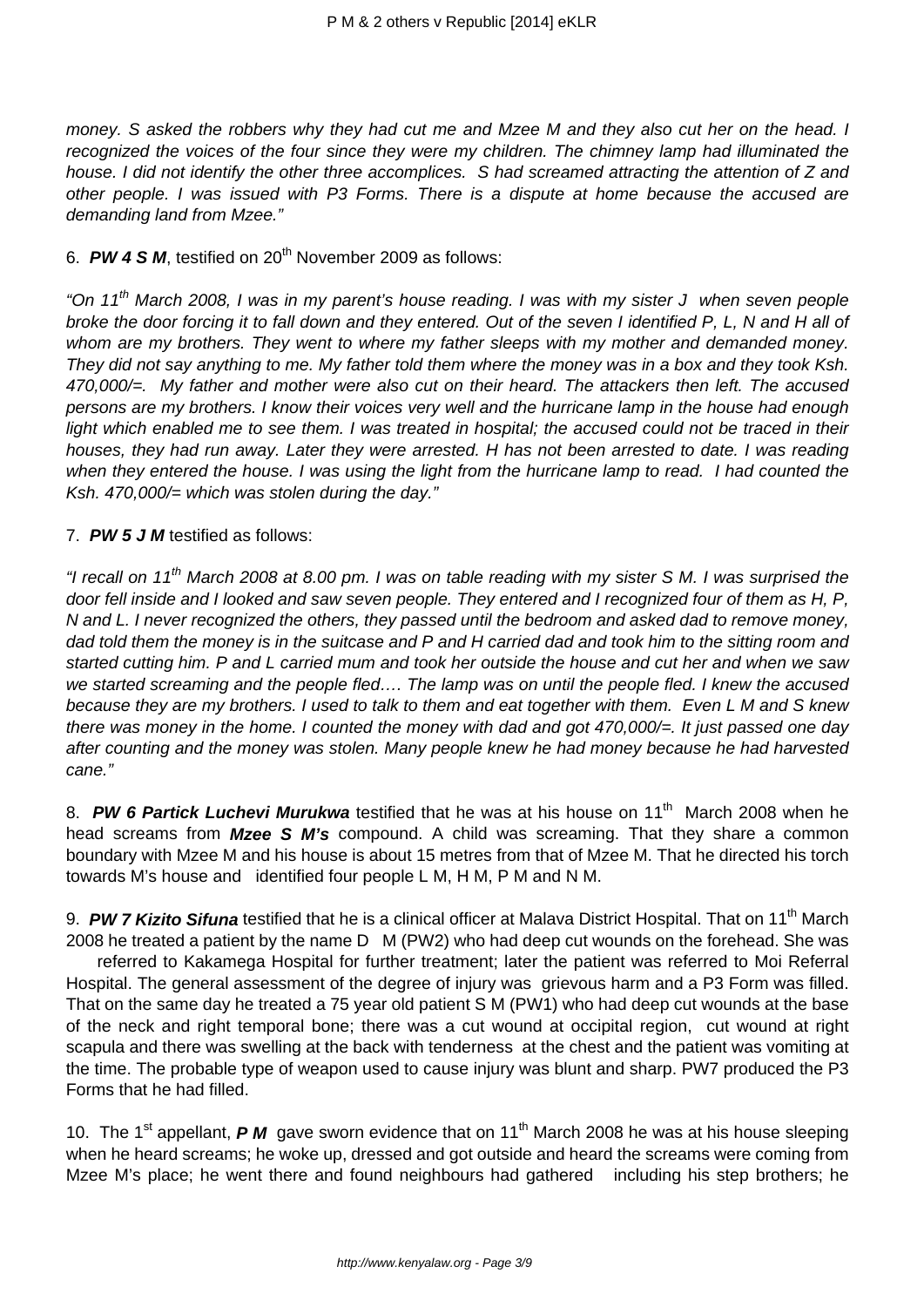money. S asked the robbers why they had cut me and Mzee M and they also cut her on the head. I recognized the voices of the four since they were my children. The chimney lamp had illuminated the house. I did not identify the other three accomplices. S had screamed attracting the attention of Z and other people. I was issued with P3 Forms. There is a dispute at home because the accused are demanding land from Mzee."

6. **PW 4 S M**, testified on 20<sup>th</sup> November 2009 as follows:

"On 11<sup>th</sup> March 2008, I was in my parent's house reading. I was with my sister J when seven people broke the door forcing it to fall down and they entered. Out of the seven I identified P, L, N and H all of whom are my brothers. They went to where my father sleeps with my mother and demanded money. They did not say anything to me. My father told them where the money was in a box and they took Ksh. 470,000/=. My father and mother were also cut on their heard. The attackers then left. The accused persons are my brothers. I know their voices very well and the hurricane lamp in the house had enough light which enabled me to see them. I was treated in hospital; the accused could not be traced in their houses, they had run away. Later they were arrested. H has not been arrested to date. I was reading when they entered the house. I was using the light from the hurricane lamp to read. I had counted the Ksh. 470,000 $/$ = which was stolen during the day."

#### 7. **PW 5 J M** testified as follows:

"I recall on 11<sup>th</sup> March 2008 at 8.00 pm. I was on table reading with my sister S M. I was surprised the door fell inside and I looked and saw seven people. They entered and I recognized four of them as H, P, N and L. I never recognized the others, they passed until the bedroom and asked dad to remove money, dad told them the money is in the suitcase and P and H carried dad and took him to the sitting room and started cutting him. P and L carried mum and took her outside the house and cut her and when we saw we started screaming and the people fled…. The lamp was on until the people fled. I knew the accused because they are my brothers. I used to talk to them and eat together with them. Even L M and S knew there was money in the home. I counted the money with dad and got 470,000/ $=$ . It just passed one day after counting and the money was stolen. Many people knew he had money because he had harvested cane."

8. **PW 6 Partick Luchevi Murukwa** testified that he was at his house on 11<sup>th</sup> March 2008 when he head screams from **Mzee S M's** compound. A child was screaming. That they share a common boundary with Mzee M and his house is about 15 metres from that of Mzee M. That he directed his torch towards M's house and identified four people L M, H M, P M and N M.

9. **PW 7 Kizito Sifuna** testified that he is a clinical officer at Malava District Hospital. That on 11<sup>th</sup> March 2008 he treated a patient by the name D M (PW2) who had deep cut wounds on the forehead. She was

 referred to Kakamega Hospital for further treatment; later the patient was referred to Moi Referral Hospital. The general assessment of the degree of injury was grievous harm and a P3 Form was filled. That on the same day he treated a 75 year old patient S M (PW1) who had deep cut wounds at the base of the neck and right temporal bone; there was a cut wound at occipital region, cut wound at right scapula and there was swelling at the back with tenderness at the chest and the patient was vomiting at the time. The probable type of weapon used to cause injury was blunt and sharp. PW7 produced the P3 Forms that he had filled.

10. The 1<sup>st</sup> appellant, **P M** gave sworn evidence that on 11<sup>th</sup> March 2008 he was at his house sleeping when he heard screams; he woke up, dressed and got outside and heard the screams were coming from Mzee M's place; he went there and found neighbours had gathered including his step brothers; he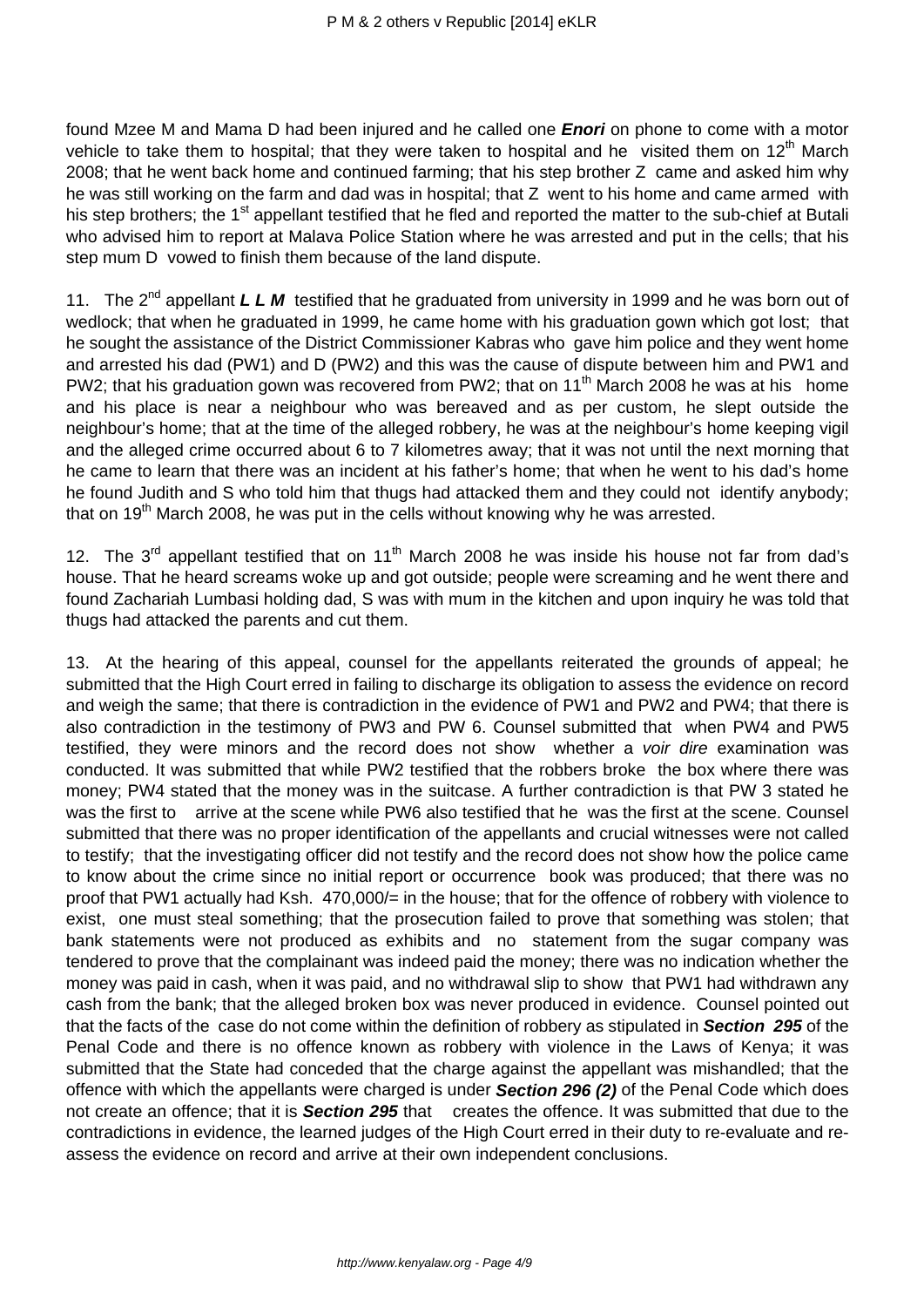found Mzee M and Mama D had been injured and he called one **Enori** on phone to come with a motor vehicle to take them to hospital; that they were taken to hospital and he visited them on  $12<sup>th</sup>$  March 2008; that he went back home and continued farming; that his step brother Z came and asked him why he was still working on the farm and dad was in hospital; that Z went to his home and came armed with his step brothers; the 1<sup>st</sup> appellant testified that he fled and reported the matter to the sub-chief at Butali who advised him to report at Malava Police Station where he was arrested and put in the cells; that his step mum D vowed to finish them because of the land dispute.

11. The 2nd appellant **L L M** testified that he graduated from university in 1999 and he was born out of wedlock; that when he graduated in 1999, he came home with his graduation gown which got lost; that he sought the assistance of the District Commissioner Kabras who gave him police and they went home and arrested his dad (PW1) and D (PW2) and this was the cause of dispute between him and PW1 and PW2; that his graduation gown was recovered from PW2; that on 11<sup>th</sup> March 2008 he was at his home and his place is near a neighbour who was bereaved and as per custom, he slept outside the neighbour's home; that at the time of the alleged robbery, he was at the neighbour's home keeping vigil and the alleged crime occurred about 6 to 7 kilometres away; that it was not until the next morning that he came to learn that there was an incident at his father's home; that when he went to his dad's home he found Judith and S who told him that thugs had attacked them and they could not identify anybody; that on  $19<sup>th</sup>$  March 2008, he was put in the cells without knowing why he was arrested.

12. The 3<sup>rd</sup> appellant testified that on 11<sup>th</sup> March 2008 he was inside his house not far from dad's house. That he heard screams woke up and got outside; people were screaming and he went there and found Zachariah Lumbasi holding dad, S was with mum in the kitchen and upon inquiry he was told that thugs had attacked the parents and cut them.

13. At the hearing of this appeal, counsel for the appellants reiterated the grounds of appeal; he submitted that the High Court erred in failing to discharge its obligation to assess the evidence on record and weigh the same; that there is contradiction in the evidence of PW1 and PW2 and PW4; that there is also contradiction in the testimony of PW3 and PW 6. Counsel submitted that when PW4 and PW5 testified, they were minors and the record does not show whether a voir dire examination was conducted. It was submitted that while PW2 testified that the robbers broke the box where there was money; PW4 stated that the money was in the suitcase. A further contradiction is that PW 3 stated he was the first to arrive at the scene while PW6 also testified that he was the first at the scene. Counsel submitted that there was no proper identification of the appellants and crucial witnesses were not called to testify; that the investigating officer did not testify and the record does not show how the police came to know about the crime since no initial report or occurrence book was produced; that there was no proof that PW1 actually had Ksh. 470,000/= in the house; that for the offence of robbery with violence to exist, one must steal something; that the prosecution failed to prove that something was stolen; that bank statements were not produced as exhibits and no statement from the sugar company was tendered to prove that the complainant was indeed paid the money; there was no indication whether the money was paid in cash, when it was paid, and no withdrawal slip to show that PW1 had withdrawn any cash from the bank; that the alleged broken box was never produced in evidence. Counsel pointed out that the facts of the case do not come within the definition of robbery as stipulated in **Section 295** of the Penal Code and there is no offence known as robbery with violence in the Laws of Kenya; it was submitted that the State had conceded that the charge against the appellant was mishandled; that the offence with which the appellants were charged is under **Section 296 (2)** of the Penal Code which does not create an offence; that it is **Section 295** that creates the offence. It was submitted that due to the contradictions in evidence, the learned judges of the High Court erred in their duty to re-evaluate and reassess the evidence on record and arrive at their own independent conclusions.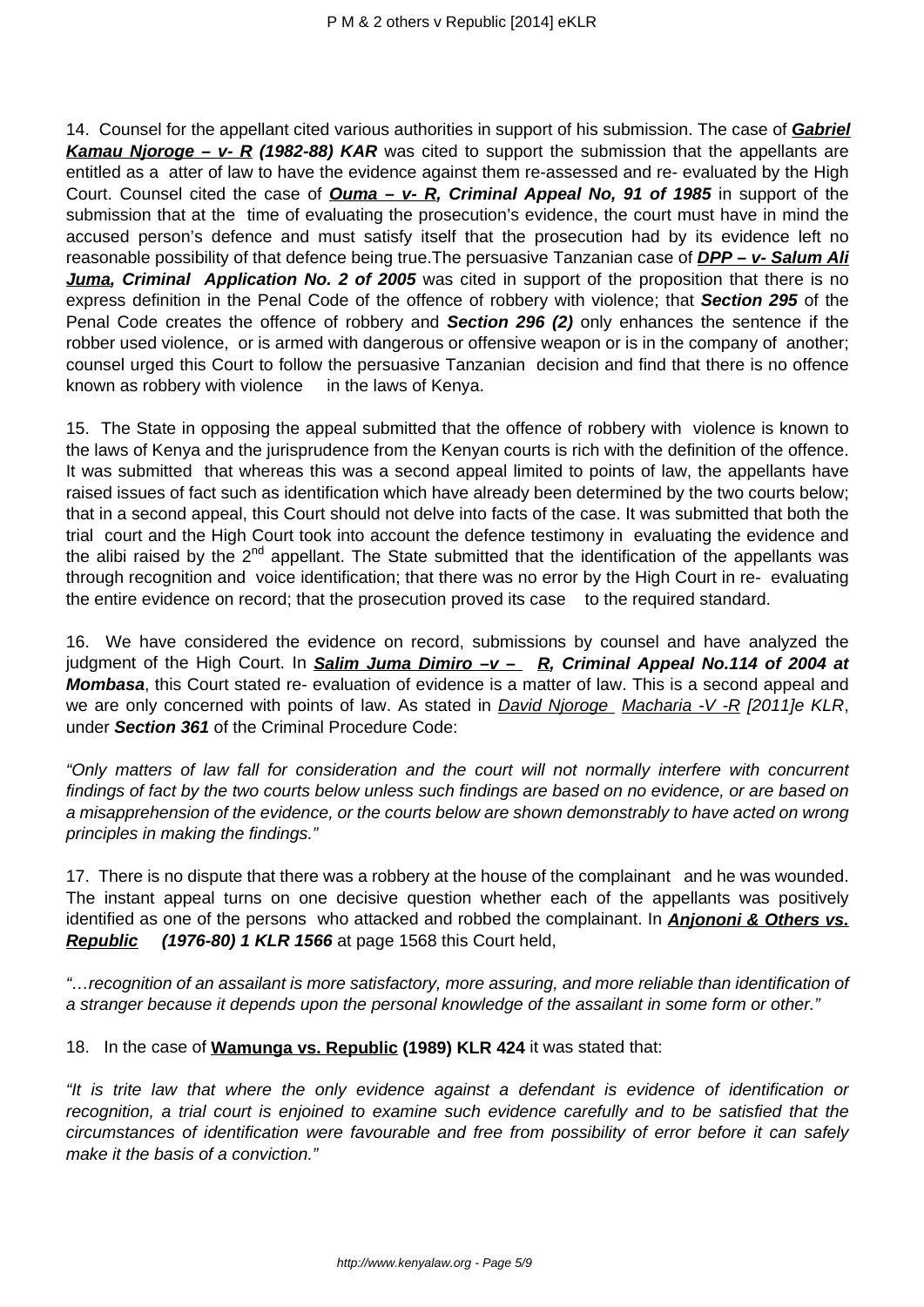14. Counsel for the appellant cited various authorities in support of his submission. The case of **Gabriel Kamau Njoroge – v- R (1982-88) KAR** was cited to support the submission that the appellants are entitled as a atter of law to have the evidence against them re-assessed and re- evaluated by the High Court. Counsel cited the case of **Ouma – v- R, Criminal Appeal No, 91 of 1985** in support of the submission that at the time of evaluating the prosecution's evidence, the court must have in mind the accused person's defence and must satisfy itself that the prosecution had by its evidence left no reasonable possibility of that defence being true. The persuasive Tanzanian case of **DPP - v- Salum Ali Juma, Criminal Application No. 2 of 2005** was cited in support of the proposition that there is no express definition in the Penal Code of the offence of robbery with violence; that **Section 295** of the Penal Code creates the offence of robbery and **Section 296 (2)** only enhances the sentence if the robber used violence, or is armed with dangerous or offensive weapon or is in the company of another; counsel urged this Court to follow the persuasive Tanzanian decision and find that there is no offence known as robbery with violence in the laws of Kenya.

15. The State in opposing the appeal submitted that the offence of robbery with violence is known to the laws of Kenya and the jurisprudence from the Kenyan courts is rich with the definition of the offence. It was submitted that whereas this was a second appeal limited to points of law, the appellants have raised issues of fact such as identification which have already been determined by the two courts below; that in a second appeal, this Court should not delve into facts of the case. It was submitted that both the trial court and the High Court took into account the defence testimony in evaluating the evidence and the alibi raised by the  $2^{nd}$  appellant. The State submitted that the identification of the appellants was through recognition and voice identification; that there was no error by the High Court in re- evaluating the entire evidence on record; that the prosecution proved its case to the required standard.

16. We have considered the evidence on record, submissions by counsel and have analyzed the judgment of the High Court. In **Salim Juma Dimiro –v – R, Criminal Appeal No.114 of 2004 at Mombasa**, this Court stated re- evaluation of evidence is a matter of law. This is a second appeal and we are only concerned with points of law. As stated in *David Njoroge Macharia -V -R [2011]e KLR*, under **Section 361** of the Criminal Procedure Code:

"Only matters of law fall for consideration and the court will not normally interfere with concurrent findings of fact by the two courts below unless such findings are based on no evidence, or are based on a misapprehension of the evidence, or the courts below are shown demonstrably to have acted on wrong principles in making the findings."

17. There is no dispute that there was a robbery at the house of the complainant and he was wounded. The instant appeal turns on one decisive question whether each of the appellants was positively identified as one of the persons who attacked and robbed the complainant. In **Anjononi & Others vs. Republic (1976-80) 1 KLR 1566** at page 1568 this Court held,

"…recognition of an assailant is more satisfactory, more assuring, and more reliable than identification of a stranger because it depends upon the personal knowledge of the assailant in some form or other."

18. In the case of **Wamunga vs. Republic (1989) KLR 424** it was stated that:

"It is trite law that where the only evidence against a defendant is evidence of identification or recognition, a trial court is enjoined to examine such evidence carefully and to be satisfied that the circumstances of identification were favourable and free from possibility of error before it can safely make it the basis of a conviction."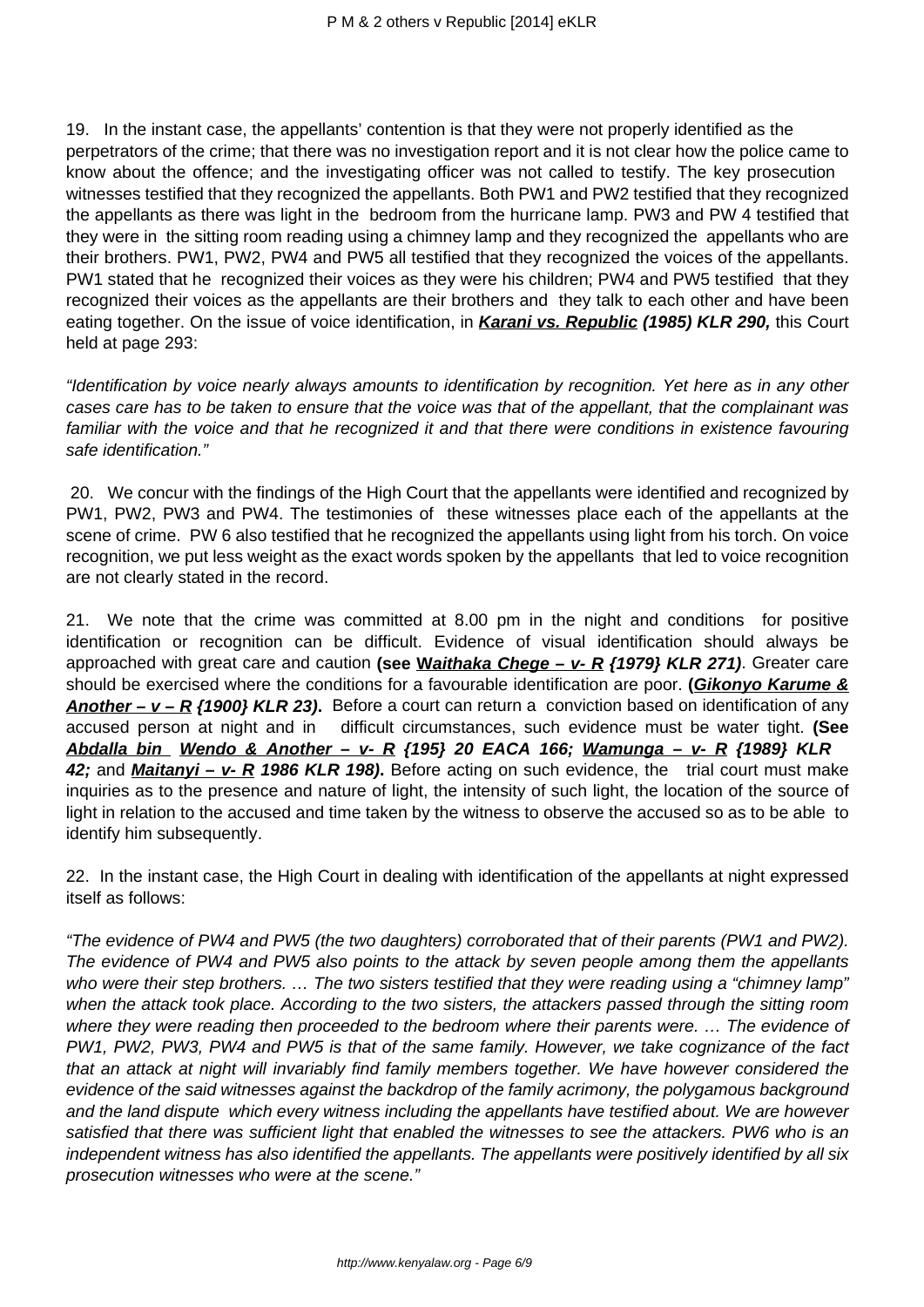19. In the instant case, the appellants' contention is that they were not properly identified as the perpetrators of the crime; that there was no investigation report and it is not clear how the police came to know about the offence; and the investigating officer was not called to testify. The key prosecution witnesses testified that they recognized the appellants. Both PW1 and PW2 testified that they recognized the appellants as there was light in the bedroom from the hurricane lamp. PW3 and PW 4 testified that they were in the sitting room reading using a chimney lamp and they recognized the appellants who are their brothers. PW1, PW2, PW4 and PW5 all testified that they recognized the voices of the appellants. PW1 stated that he recognized their voices as they were his children; PW4 and PW5 testified that they recognized their voices as the appellants are their brothers and they talk to each other and have been eating together. On the issue of voice identification, in **Karani vs. Republic (1985) KLR 290,** this Court held at page 293:

"Identification by voice nearly always amounts to identification by recognition. Yet here as in any other cases care has to be taken to ensure that the voice was that of the appellant, that the complainant was familiar with the voice and that he recognized it and that there were conditions in existence favouring safe identification."

20. We concur with the findings of the High Court that the appellants were identified and recognized by PW1, PW2, PW3 and PW4. The testimonies of these witnesses place each of the appellants at the scene of crime. PW 6 also testified that he recognized the appellants using light from his torch. On voice recognition, we put less weight as the exact words spoken by the appellants that led to voice recognition are not clearly stated in the record.

21. We note that the crime was committed at 8.00 pm in the night and conditions for positive identification or recognition can be difficult. Evidence of visual identification should always be approached with great care and caution **(see Waithaka Chege – v- R {1979} KLR 271)**. Greater care should be exercised where the conditions for a favourable identification are poor. **(Gikonyo Karume & Another – v – R {1900} KLR 23).** Before a court can return a conviction based on identification of any accused person at night and in difficult circumstances, such evidence must be water tight. **(See Abdalla bin Wendo & Another – v- R {195} 20 EACA 166; Wamunga – v- R {1989} KLR 42;** and **Maitanyi – v- R 1986 KLR 198).** Before acting on such evidence, the trial court must make inquiries as to the presence and nature of light, the intensity of such light, the location of the source of light in relation to the accused and time taken by the witness to observe the accused so as to be able to identify him subsequently.

22. In the instant case, the High Court in dealing with identification of the appellants at night expressed itself as follows:

"The evidence of PW4 and PW5 (the two daughters) corroborated that of their parents (PW1 and PW2). The evidence of PW4 and PW5 also points to the attack by seven people among them the appellants who were their step brothers. ... The two sisters testified that they were reading using a "chimney lamp" when the attack took place. According to the two sisters, the attackers passed through the sitting room where they were reading then proceeded to the bedroom where their parents were. … The evidence of PW1, PW2, PW3, PW4 and PW5 is that of the same family. However, we take cognizance of the fact that an attack at night will invariably find family members together. We have however considered the evidence of the said witnesses against the backdrop of the family acrimony, the polygamous background and the land dispute which every witness including the appellants have testified about. We are however satisfied that there was sufficient light that enabled the witnesses to see the attackers. PW6 who is an independent witness has also identified the appellants. The appellants were positively identified by all six prosecution witnesses who were at the scene."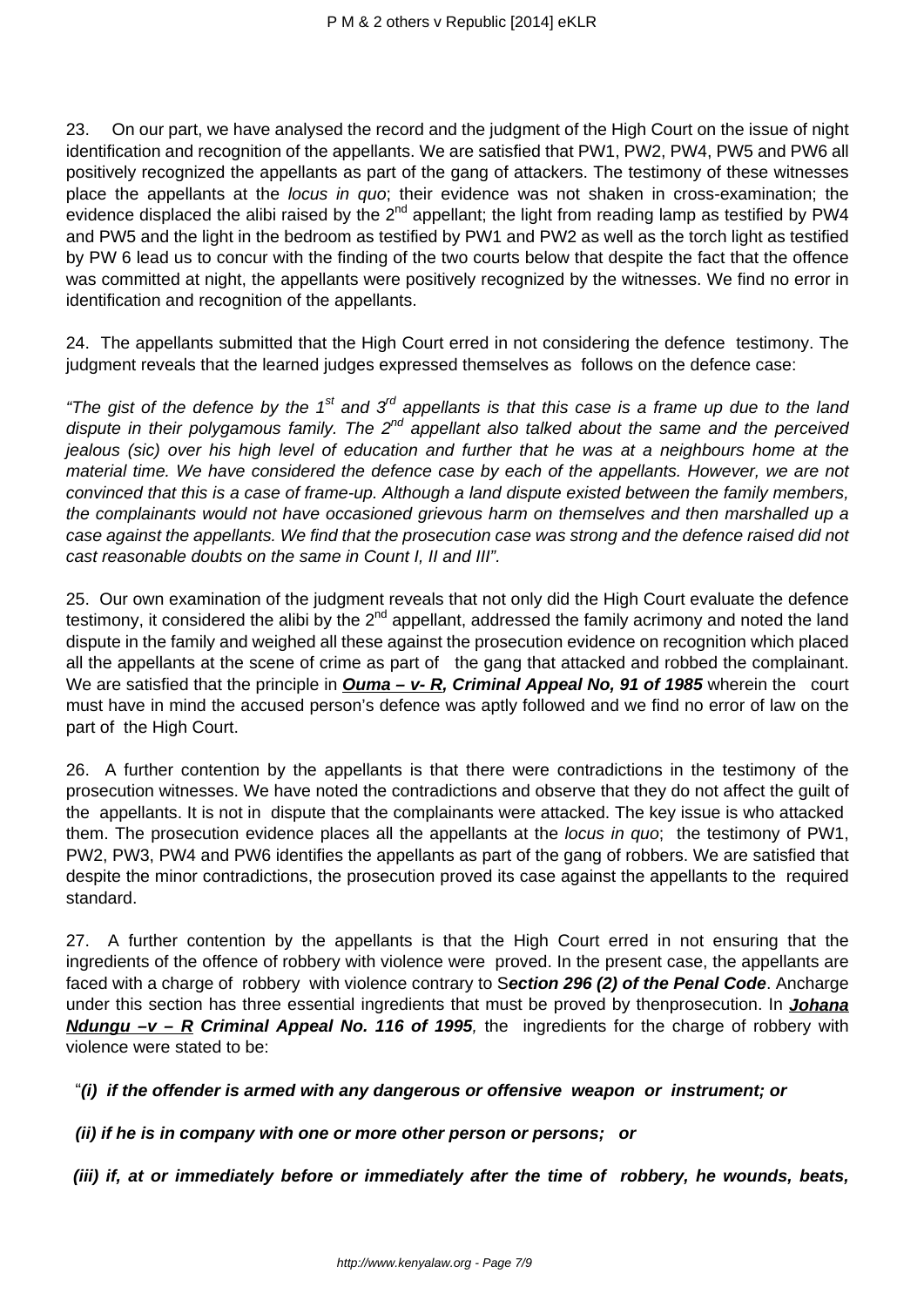23. On our part, we have analysed the record and the judgment of the High Court on the issue of night identification and recognition of the appellants. We are satisfied that PW1, PW2, PW4, PW5 and PW6 all positively recognized the appellants as part of the gang of attackers. The testimony of these witnesses place the appellants at the locus in quo; their evidence was not shaken in cross-examination; the evidence displaced the alibi raised by the  $2^{nd}$  appellant; the light from reading lamp as testified by PW4 and PW5 and the light in the bedroom as testified by PW1 and PW2 as well as the torch light as testified by PW 6 lead us to concur with the finding of the two courts below that despite the fact that the offence was committed at night, the appellants were positively recognized by the witnesses. We find no error in identification and recognition of the appellants.

24. The appellants submitted that the High Court erred in not considering the defence testimony. The judgment reveals that the learned judges expressed themselves as follows on the defence case:

"The gist of the defence by the 1<sup>st</sup> and 3<sup>rd</sup> appellants is that this case is a frame up due to the land dispute in their polygamous family. The 2<sup>nd</sup> appellant also talked about the same and the perceived jealous (sic) over his high level of education and further that he was at a neighbours home at the material time. We have considered the defence case by each of the appellants. However, we are not convinced that this is a case of frame-up. Although a land dispute existed between the family members, the complainants would not have occasioned grievous harm on themselves and then marshalled up a case against the appellants. We find that the prosecution case was strong and the defence raised did not cast reasonable doubts on the same in Count I, II and III".

25. Our own examination of the judgment reveals that not only did the High Court evaluate the defence testimony, it considered the alibi by the  $2^{nd}$  appellant, addressed the family acrimony and noted the land dispute in the family and weighed all these against the prosecution evidence on recognition which placed all the appellants at the scene of crime as part of the gang that attacked and robbed the complainant. We are satisfied that the principle in *Ouma – v- R, Criminal Appeal No, 91 of 1985* wherein the court must have in mind the accused person's defence was aptly followed and we find no error of law on the part of the High Court.

26. A further contention by the appellants is that there were contradictions in the testimony of the prosecution witnesses. We have noted the contradictions and observe that they do not affect the guilt of the appellants. It is not in dispute that the complainants were attacked. The key issue is who attacked them. The prosecution evidence places all the appellants at the *locus in quo*; the testimony of PW1, PW2, PW3, PW4 and PW6 identifies the appellants as part of the gang of robbers. We are satisfied that despite the minor contradictions, the prosecution proved its case against the appellants to the required standard.

27. A further contention by the appellants is that the High Court erred in not ensuring that the ingredients of the offence of robbery with violence were proved. In the present case, the appellants are faced with a charge of robbery with violence contrary to S**ection 296 (2) of the Penal Code**. Ancharge under this section has three essential ingredients that must be proved by thenprosecution. In **Johana Ndungu –v – R Criminal Appeal No. 116 of 1995**, the ingredients for the charge of robbery with violence were stated to be:

"**(i) if the offender is armed with any dangerous or offensive weapon or instrument; or**

 **(ii) if he is in company with one or more other person or persons; or**

**(iii) if, at or immediately before or immediately after the time of robbery, he wounds, beats,**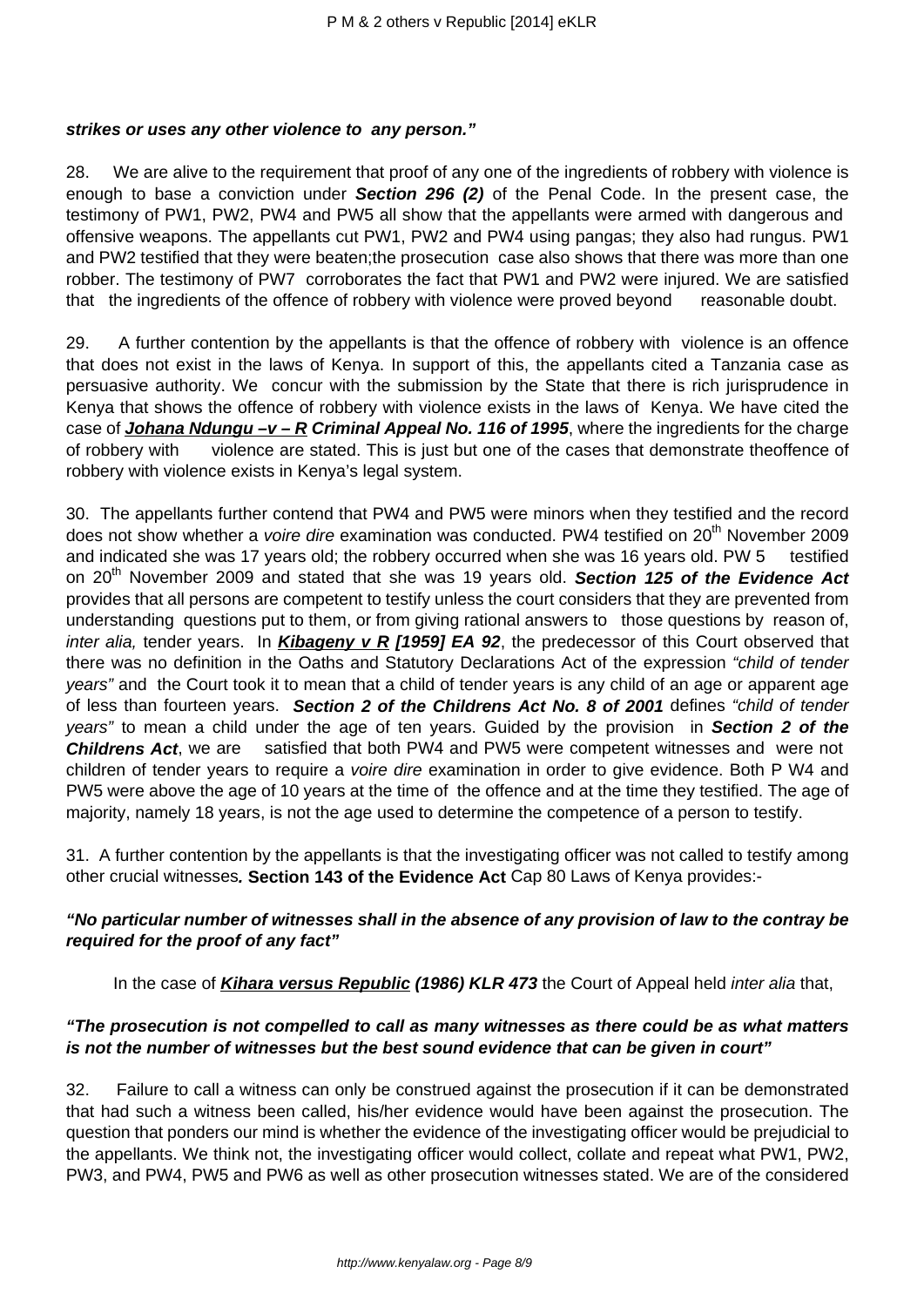#### **strikes or uses any other violence to any person."**

28. We are alive to the requirement that proof of any one of the ingredients of robbery with violence is enough to base a conviction under **Section 296 (2)** of the Penal Code. In the present case, the testimony of PW1, PW2, PW4 and PW5 all show that the appellants were armed with dangerous and offensive weapons. The appellants cut PW1, PW2 and PW4 using pangas; they also had rungus. PW1 and PW2 testified that they were beaten;the prosecution case also shows that there was more than one robber. The testimony of PW7 corroborates the fact that PW1 and PW2 were injured. We are satisfied that the ingredients of the offence of robbery with violence were proved beyond reasonable doubt.

29. A further contention by the appellants is that the offence of robbery with violence is an offence that does not exist in the laws of Kenya. In support of this, the appellants cited a Tanzania case as persuasive authority. We concur with the submission by the State that there is rich jurisprudence in Kenya that shows the offence of robbery with violence exists in the laws of Kenya. We have cited the case of **Johana Ndungu –v – R Criminal Appeal No. 116 of 1995**, where the ingredients for the charge of robbery with violence are stated. This is just but one of the cases that demonstrate theoffence of robbery with violence exists in Kenya's legal system.

30. The appellants further contend that PW4 and PW5 were minors when they testified and the record does not show whether a *voire dire* examination was conducted. PW4 testified on 20<sup>th</sup> November 2009 and indicated she was 17 years old; the robbery occurred when she was 16 years old. PW 5 testified on 20<sup>th</sup> November 2009 and stated that she was 19 years old. **Section 125 of the Evidence Act** provides that all persons are competent to testify unless the court considers that they are prevented from understanding questions put to them, or from giving rational answers to those questions by reason of, inter alia, tender years. In **Kibageny v R [1959] EA 92**, the predecessor of this Court observed that there was no definition in the Oaths and Statutory Declarations Act of the expression "child of tender years" and the Court took it to mean that a child of tender years is any child of an age or apparent age of less than fourteen years. **Section 2 of the Childrens Act No. 8 of 2001** defines "child of tender years" to mean a child under the age of ten years. Guided by the provision in **Section 2 of the Childrens Act**, we are satisfied that both PW4 and PW5 were competent witnesses and were not children of tender years to require a voire dire examination in order to give evidence. Both P W4 and PW5 were above the age of 10 years at the time of the offence and at the time they testified. The age of majority, namely 18 years, is not the age used to determine the competence of a person to testify.

31. A further contention by the appellants is that the investigating officer was not called to testify among other crucial witnesses**. Section 143 of the Evidence Act** Cap 80 Laws of Kenya provides:-

## **"No particular number of witnesses shall in the absence of any provision of law to the contray be required for the proof of any fact"**

In the case of **Kihara versus Republic (1986) KLR 473** the Court of Appeal held inter alia that,

## **"The prosecution is not compelled to call as many witnesses as there could be as what matters is not the number of witnesses but the best sound evidence that can be given in court"**

32. Failure to call a witness can only be construed against the prosecution if it can be demonstrated that had such a witness been called, his/her evidence would have been against the prosecution. The question that ponders our mind is whether the evidence of the investigating officer would be prejudicial to the appellants. We think not, the investigating officer would collect, collate and repeat what PW1, PW2, PW3, and PW4, PW5 and PW6 as well as other prosecution witnesses stated. We are of the considered